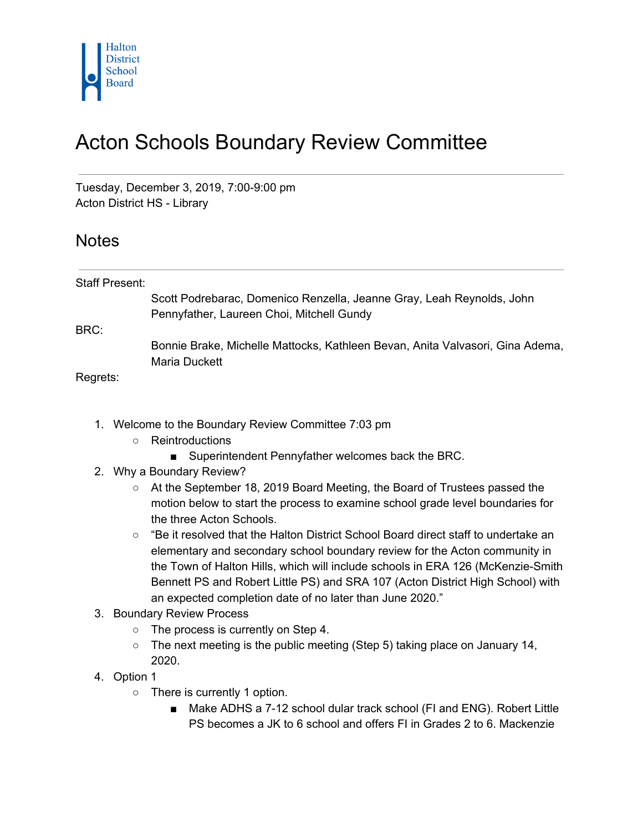

## Acton Schools Boundary Review Committee

Tuesday, December 3, 2019, 7:00-9:00 pm Acton District HS - Library

## **Notes**

| Staff Present: |                                                                               |
|----------------|-------------------------------------------------------------------------------|
|                | Scott Podrebarac, Domenico Renzella, Jeanne Gray, Leah Reynolds, John         |
|                | Pennyfather, Laureen Choi, Mitchell Gundy                                     |
| BRC:           |                                                                               |
|                | Bonnie Brake, Michelle Mattocks, Kathleen Bevan, Anita Valvasori, Gina Adema, |
|                | Maria Duckett                                                                 |
| Regrets:       |                                                                               |
|                |                                                                               |

- 1. Welcome to the Boundary Review Committee 7:03 pm
	- Reintroductions
		- Superintendent Pennyfather welcomes back the BRC.
- 2. Why a Boundary Review?
	- At the September 18, 2019 Board Meeting, the Board of Trustees passed the motion below to start the process to examine school grade level boundaries for the three Acton Schools.
	- $\circ$  "Be it resolved that the Halton District School Board direct staff to undertake an elementary and secondary school boundary review for the Acton community in the Town of Halton Hills, which will include schools in ERA 126 (McKenzie-Smith Bennett PS and Robert Little PS) and SRA 107 (Acton District High School) with an expected completion date of no later than June 2020."
- 3. Boundary Review Process
	- The process is currently on Step 4.
	- The next meeting is the public meeting (Step 5) taking place on January 14, 2020.
- 4. Option 1
	- There is currently 1 option.
		- Make ADHS a 7-12 school dular track school (FI and ENG). Robert Little PS becomes a JK to 6 school and offers FI in Grades 2 to 6. Mackenzie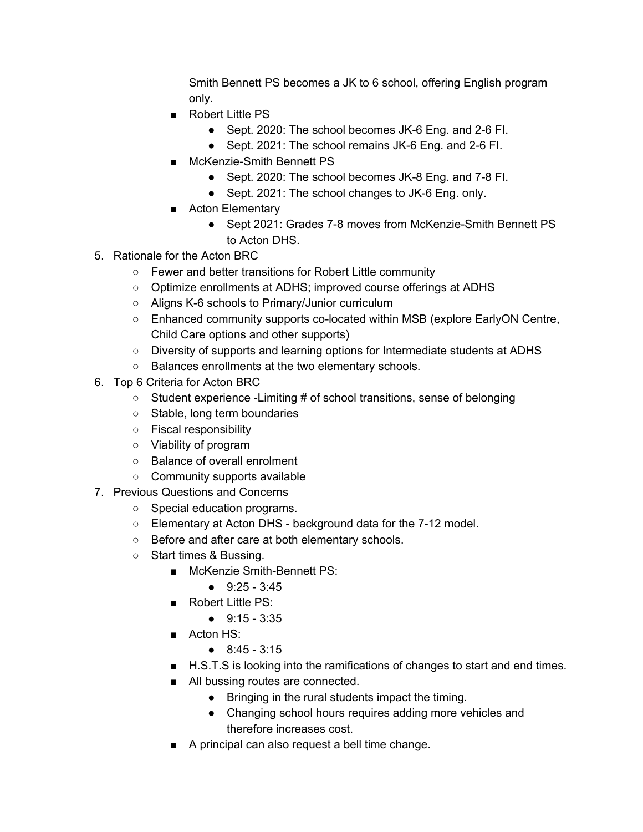Smith Bennett PS becomes a JK to 6 school, offering English program only.

- Robert Little PS
	- Sept. 2020: The school becomes JK-6 Eng. and 2-6 FI.
	- Sept. 2021: The school remains JK-6 Eng. and 2-6 FI.
- McKenzie-Smith Bennett PS
	- Sept. 2020: The school becomes JK-8 Eng. and 7-8 FI.
	- Sept. 2021: The school changes to JK-6 Eng. only.
- Acton Elementary
	- Sept 2021: Grades 7-8 moves from McKenzie-Smith Bennett PS to Acton DHS.
- 5. Rationale for the Acton BRC
	- Fewer and better transitions for Robert Little community
	- Optimize enrollments at ADHS; improved course offerings at ADHS
	- Aligns K-6 schools to Primary/Junior curriculum
	- Enhanced community supports co-located within MSB (explore EarlyON Centre, Child Care options and other supports)
	- Diversity of supports and learning options for Intermediate students at ADHS
	- Balances enrollments at the two elementary schools.
- 6. Top 6 Criteria for Acton BRC
	- Student experience -Limiting # of school transitions, sense of belonging
	- Stable, long term boundaries
	- Fiscal responsibility
	- Viability of program
	- Balance of overall enrolment
	- Community supports available
- 7. Previous Questions and Concerns
	- Special education programs.
	- Elementary at Acton DHS background data for the 7-12 model.
	- Before and after care at both elementary schools.
	- Start times & Bussing.
		- McKenzie Smith-Bennett PS:
			- $9:25 3:45$
		- Robert Little PS:
			- 9:15 3:35
		- Acton HS:
			- 8:45 3:15
		- H.S.T.S is looking into the ramifications of changes to start and end times.
		- All bussing routes are connected.
			- Bringing in the rural students impact the timing.
			- Changing school hours requires adding more vehicles and therefore increases cost.
		- A principal can also request a bell time change.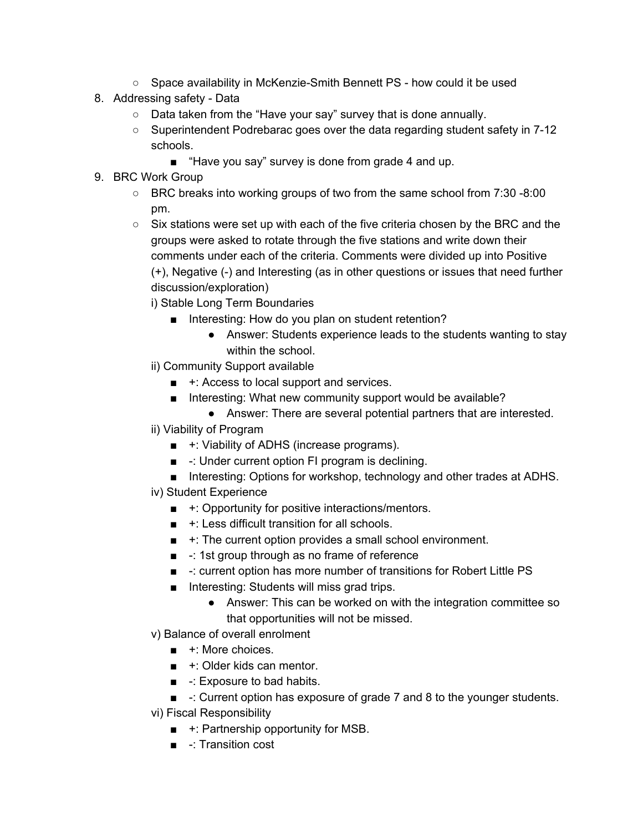- Space availability in McKenzie-Smith Bennett PS how could it be used
- 8. Addressing safety Data
	- Data taken from the "Have your say" survey that is done annually.
	- Superintendent Podrebarac goes over the data regarding student safety in 7-12 schools.
		- "Have you say" survey is done from grade 4 and up.
- 9. BRC Work Group
	- $\circ$  BRC breaks into working groups of two from the same school from 7:30 -8:00 pm.
	- $\circ$  Six stations were set up with each of the five criteria chosen by the BRC and the groups were asked to rotate through the five stations and write down their comments under each of the criteria. Comments were divided up into Positive (+), Negative (-) and Interesting (as in other questions or issues that need further discussion/exploration)
		- i) Stable Long Term Boundaries
			- Interesting: How do you plan on student retention?
				- Answer: Students experience leads to the students wanting to stay within the school.
		- ii) Community Support available
			- $\blacksquare$  +: Access to local support and services.
			- Interesting: What new community support would be available?
				- Answer: There are several potential partners that are interested.
		- ii) Viability of Program
			- $+$ : Viability of ADHS (increase programs).
			- -: Under current option FI program is declining.
			- Interesting: Options for workshop, technology and other trades at ADHS.
		- iv) Student Experience
			- $+$ : Opportunity for positive interactions/mentors.
			- $+$ : Less difficult transition for all schools.
			- $+$ : The current option provides a small school environment.
			- -: 1st group through as no frame of reference
			- -: current option has more number of transitions for Robert Little PS
			- Interesting: Students will miss grad trips.
				- Answer: This can be worked on with the integration committee so that opportunities will not be missed.
		- v) Balance of overall enrolment
			- +: More choices.
			- $\blacksquare$  +: Older kids can mentor.
			- -: Exposure to bad habits.
			- -: Current option has exposure of grade 7 and 8 to the younger students.
		- vi) Fiscal Responsibility
			- $+$ : Partnership opportunity for MSB.
			- -: Transition cost